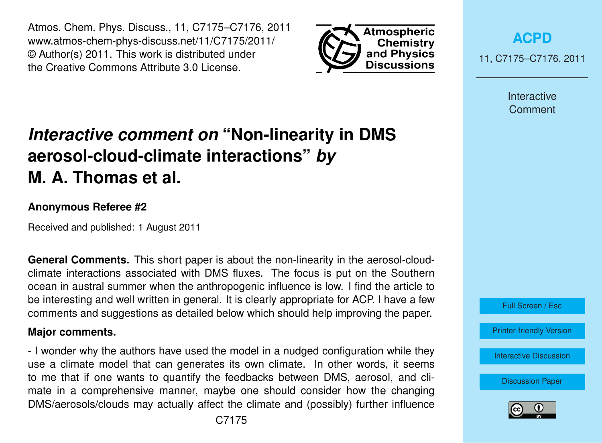Atmos. Chem. Phys. Discuss., 11, C7175–C7176, 2011 www.atmos-chem-phys-discuss.net/11/C7175/2011/ © Author(s) 2011. This work is distributed under the Creative Commons Attribute 3.0 License.



**[ACPD](http://www.atmos-chem-phys-discuss.net)** 11, C7175–C7176, 2011

> Interactive **Comment**

## *Interactive comment on* **"Non-linearity in DMS aerosol-cloud-climate interactions"** *by* **M. A. Thomas et al.**

## **Anonymous Referee #2**

Received and published: 1 August 2011

**General Comments.** This short paper is about the non-linearity in the aerosol-cloudclimate interactions associated with DMS fluxes. The focus is put on the Southern ocean in austral summer when the anthropogenic influence is low. I find the article to be interesting and well written in general. It is clearly appropriate for ACP. I have a few comments and suggestions as detailed below which should help improving the paper.

## **Major comments.**

- I wonder why the authors have used the model in a nudged configuration while they use a climate model that can generates its own climate. In other words, it seems to me that if one wants to quantify the feedbacks between DMS, aerosol, and climate in a comprehensive manner, maybe one should consider how the changing DMS/aerosols/clouds may actually affect the climate and (possibly) further influence